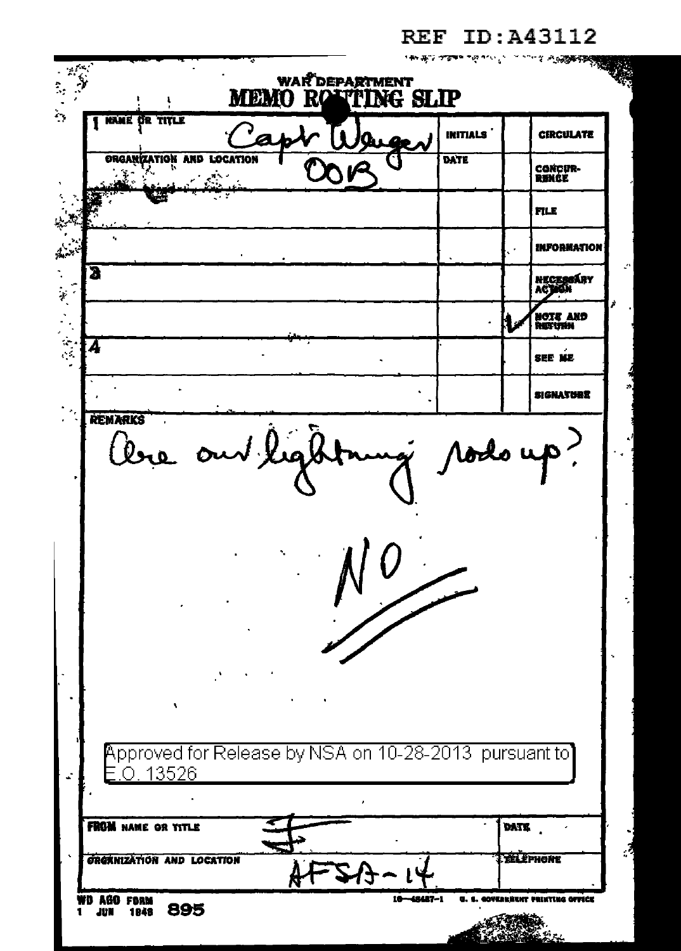## **REF ID:A43112**

| <b>I NAME ØR TITLE</b>    | <b>MEMO</b> |                                                        | <b>TING SLIP</b> | <b>INITIALS</b> | <b>CIRCULATE</b>        |  |
|---------------------------|-------------|--------------------------------------------------------|------------------|-----------------|-------------------------|--|
| ORGANIZATION AND LOCATION |             |                                                        |                  | DATE            | <b>CONCUR-</b><br>RENCE |  |
|                           |             |                                                        |                  |                 | FILE                    |  |
|                           |             |                                                        |                  |                 | <b>INFORMATION</b>      |  |
| З                         |             |                                                        |                  |                 | NECESSÁRY<br>ACJESN     |  |
|                           |             |                                                        |                  |                 | NOTE AND<br>Refurn      |  |
| Д                         |             |                                                        |                  |                 | SEE ME                  |  |
|                           |             |                                                        |                  |                 | <b>SIGNATURE</b>        |  |
| <b>REMARKS</b><br>Cere    | our light   |                                                        |                  |                 | rodo up.                |  |
|                           |             |                                                        |                  |                 |                         |  |
|                           |             |                                                        |                  |                 |                         |  |
| <u>EÍO, 13526</u>         |             | [Approved for Release by NSA on 10-28-2013 pursuant to |                  |                 |                         |  |
| <b>FROM NAME OR TITLE</b> |             |                                                        |                  |                 | <b>DATE</b>             |  |